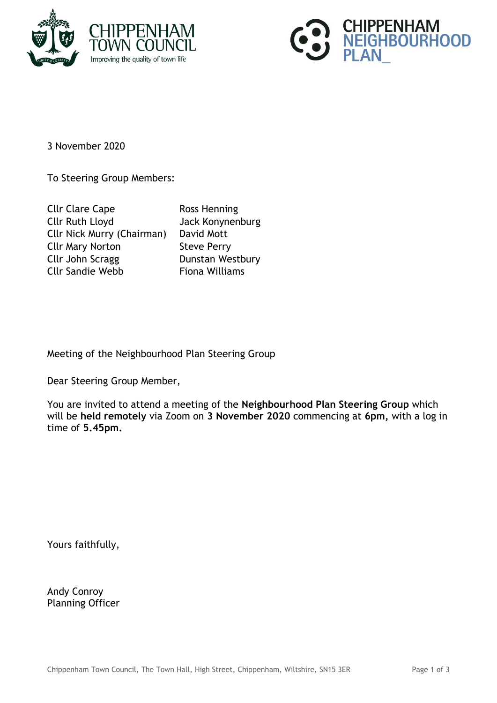



3 November 2020

To Steering Group Members:

Cllr Clare Cape Ross Henning Cllr Ruth Lloyd Jack Konynenburg Cllr Nick Murry (Chairman) David Mott Cllr Mary Norton Steve Perry Cllr John Scragg Dunstan Westbury Cllr Sandie Webb Fiona Williams

Meeting of the Neighbourhood Plan Steering Group

Dear Steering Group Member,

You are invited to attend a meeting of the **Neighbourhood Plan Steering Group** which will be **held remotely** via Zoom on **3 November 2020** commencing at **6pm,** with a log in time of **5.45pm.**

Yours faithfully,

Andy Conroy Planning Officer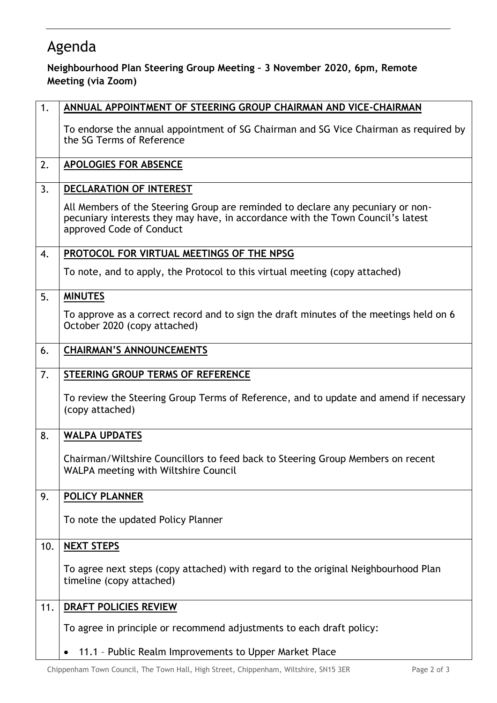## Agenda

## **Neighbourhood Plan Steering Group Meeting – 3 November 2020, 6pm, Remote Meeting (via Zoom)**

| 1.  | ANNUAL APPOINTMENT OF STEERING GROUP CHAIRMAN AND VICE-CHAIRMAN                                                                                                                                |
|-----|------------------------------------------------------------------------------------------------------------------------------------------------------------------------------------------------|
|     | To endorse the annual appointment of SG Chairman and SG Vice Chairman as required by<br>the SG Terms of Reference                                                                              |
| 2.  | <b>APOLOGIES FOR ABSENCE</b>                                                                                                                                                                   |
| 3.  | <b>DECLARATION OF INTEREST</b>                                                                                                                                                                 |
|     | All Members of the Steering Group are reminded to declare any pecuniary or non-<br>pecuniary interests they may have, in accordance with the Town Council's latest<br>approved Code of Conduct |
| 4.  | PROTOCOL FOR VIRTUAL MEETINGS OF THE NPSG                                                                                                                                                      |
|     | To note, and to apply, the Protocol to this virtual meeting (copy attached)                                                                                                                    |
| 5.  | <b>MINUTES</b>                                                                                                                                                                                 |
|     | To approve as a correct record and to sign the draft minutes of the meetings held on 6<br>October 2020 (copy attached)                                                                         |
| 6.  | <b>CHAIRMAN'S ANNOUNCEMENTS</b>                                                                                                                                                                |
| 7.  | STEERING GROUP TERMS OF REFERENCE                                                                                                                                                              |
|     | To review the Steering Group Terms of Reference, and to update and amend if necessary<br>(copy attached)                                                                                       |
| 8.  | <b>WALPA UPDATES</b>                                                                                                                                                                           |
|     | Chairman/Wiltshire Councillors to feed back to Steering Group Members on recent<br>WALPA meeting with Wiltshire Council                                                                        |
| 9.  | <b>POLICY PLANNER</b>                                                                                                                                                                          |
|     | To note the updated Policy Planner                                                                                                                                                             |
| 10. | <b>NEXT STEPS</b>                                                                                                                                                                              |
|     | To agree next steps (copy attached) with regard to the original Neighbourhood Plan<br>timeline (copy attached)                                                                                 |
| 11. | <b>DRAFT POLICIES REVIEW</b>                                                                                                                                                                   |
|     | To agree in principle or recommend adjustments to each draft policy:                                                                                                                           |
|     | 11.1 - Public Realm Improvements to Upper Market Place                                                                                                                                         |